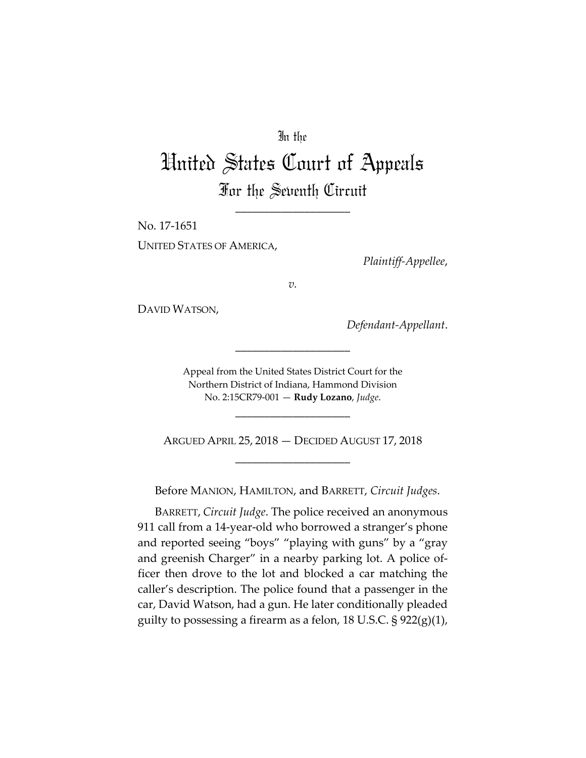## In the

## United States Court of Appeals For the Seventh Circuit

\_\_\_\_\_\_\_\_\_\_\_\_\_\_\_\_\_\_\_\_

No. 17‐1651 UNITED STATES OF AMERICA,

*Plaintiff‐Appellee*,

*v.*

DAVID WATSON,

*Defendant‐Appellant*.

Appeal from the United States District Court for the Northern District of Indiana, Hammond Division No. 2:15CR79‐001 — **Rudy Lozano**, *Judge*.

\_\_\_\_\_\_\_\_\_\_\_\_\_\_\_\_\_\_\_\_

ARGUED APRIL 25, 2018 — DECIDED AUGUST 17, 2018 \_\_\_\_\_\_\_\_\_\_\_\_\_\_\_\_\_\_\_\_

\_\_\_\_\_\_\_\_\_\_\_\_\_\_\_\_\_\_\_\_

Before MANION, HAMILTON, and BARRETT, *Circuit Judges*.

BARRETT, *Circuit Judge*. The police received an anonymous 911 call from a 14-year-old who borrowed a stranger's phone and reported seeing "boys" "playing with guns" by a "gray and greenish Charger" in a nearby parking lot. A police of‐ ficer then drove to the lot and blocked a car matching the caller's description. The police found that a passenger in the car, David Watson, had a gun. He later conditionally pleaded guilty to possessing a firearm as a felon, 18 U.S.C.  $\S 922(g)(1)$ ,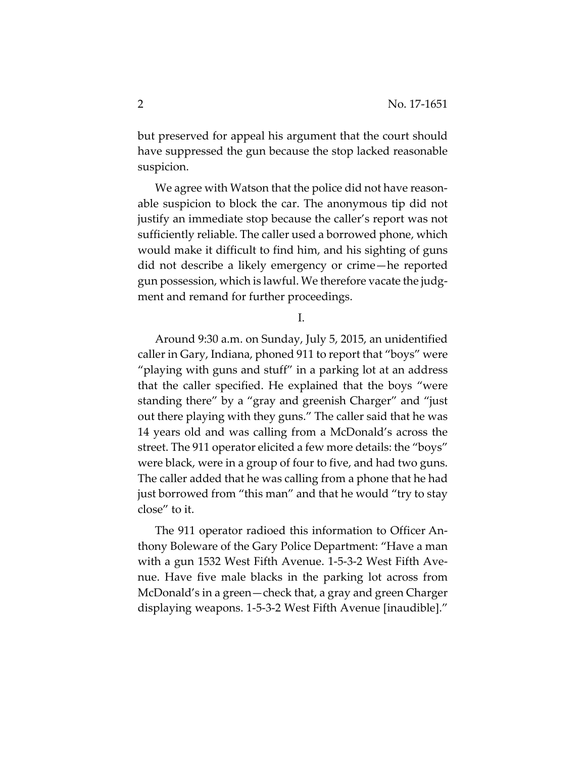but preserved for appeal his argument that the court should have suppressed the gun because the stop lacked reasonable suspicion.

We agree with Watson that the police did not have reasonable suspicion to block the car. The anonymous tip did not justify an immediate stop because the caller's report was not sufficiently reliable. The caller used a borrowed phone, which would make it difficult to find him, and his sighting of guns did not describe a likely emergency or crime—he reported gun possession, which is lawful. We therefore vacate the judg‐ ment and remand for further proceedings.

I.

Around 9:30 a.m. on Sunday, July 5, 2015, an unidentified caller in Gary, Indiana, phoned 911 to report that "boys" were "playing with guns and stuff" in a parking lot at an address that the caller specified. He explained that the boys "were standing there" by a "gray and greenish Charger" and "just out there playing with they guns." The caller said that he was 14 years old and was calling from a McDonald's across the street. The 911 operator elicited a few more details: the "boys" were black, were in a group of four to five, and had two guns. The caller added that he was calling from a phone that he had just borrowed from "this man" and that he would "try to stay close" to it.

The 911 operator radioed this information to Officer An‐ thony Boleware of the Gary Police Department: "Have a man with a gun 1532 West Fifth Avenue. 1‐5‐3‐2 West Fifth Ave‐ nue. Have five male blacks in the parking lot across from McDonald's in a green—check that, a gray and green Charger displaying weapons. 1‐5‐3‐2 West Fifth Avenue [inaudible]."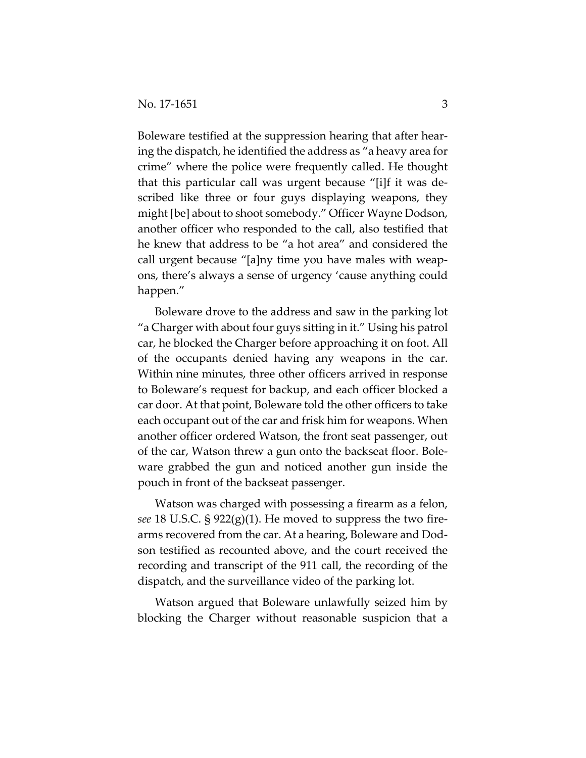Boleware testified at the suppression hearing that after hearing the dispatch, he identified the address as "a heavy area for crime" where the police were frequently called. He thought that this particular call was urgent because "[i]f it was de‐ scribed like three or four guys displaying weapons, they might [be] about to shoot somebody." Officer Wayne Dodson, another officer who responded to the call, also testified that he knew that address to be "a hot area" and considered the call urgent because "[a]ny time you have males with weap‐ ons, there's always a sense of urgency 'cause anything could happen."

Boleware drove to the address and saw in the parking lot "a Charger with about four guys sitting in it." Using his patrol car, he blocked the Charger before approaching it on foot. All of the occupants denied having any weapons in the car. Within nine minutes, three other officers arrived in response to Boleware's request for backup, and each officer blocked a car door. At that point, Boleware told the other officers to take each occupant out of the car and frisk him for weapons. When another officer ordered Watson, the front seat passenger, out of the car, Watson threw a gun onto the backseat floor. Bole‐ ware grabbed the gun and noticed another gun inside the pouch in front of the backseat passenger.

Watson was charged with possessing a firearm as a felon, *see* 18 U.S.C. § 922(g)(1). He moved to suppress the two fire‐ arms recovered from the car. At a hearing, Boleware and Dod‐ son testified as recounted above, and the court received the recording and transcript of the 911 call, the recording of the dispatch, and the surveillance video of the parking lot.

Watson argued that Boleware unlawfully seized him by blocking the Charger without reasonable suspicion that a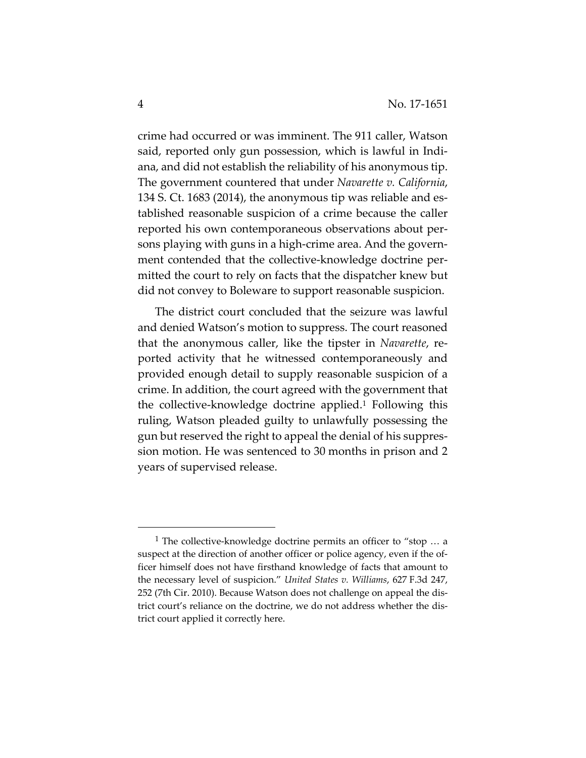crime had occurred or was imminent. The 911 caller, Watson said, reported only gun possession, which is lawful in Indiana, and did not establish the reliability of his anonymous tip. The government countered that under *Navarette v. California*, 134 S. Ct. 1683 (2014), the anonymous tip was reliable and es‐ tablished reasonable suspicion of a crime because the caller reported his own contemporaneous observations about per‐ sons playing with guns in a high‐crime area. And the govern‐ ment contended that the collective-knowledge doctrine permitted the court to rely on facts that the dispatcher knew but did not convey to Boleware to support reasonable suspicion.

The district court concluded that the seizure was lawful and denied Watson's motion to suppress. The court reasoned that the anonymous caller, like the tipster in *Navarette*, re‐ ported activity that he witnessed contemporaneously and provided enough detail to supply reasonable suspicion of a crime. In addition, the court agreed with the government that the collective‐knowledge doctrine applied.1 Following this ruling, Watson pleaded guilty to unlawfully possessing the gun but reserved the right to appeal the denial of his suppres‐ sion motion. He was sentenced to 30 months in prison and 2 years of supervised release.

<sup>&</sup>lt;sup>1</sup> The collective-knowledge doctrine permits an officer to "stop  $\dots$  a suspect at the direction of another officer or police agency, even if the officer himself does not have firsthand knowledge of facts that amount to the necessary level of suspicion." *United States v. Williams*, 627 F.3d 247, 252 (7th Cir. 2010). Because Watson does not challenge on appeal the dis‐ trict court's reliance on the doctrine, we do not address whether the dis‐ trict court applied it correctly here.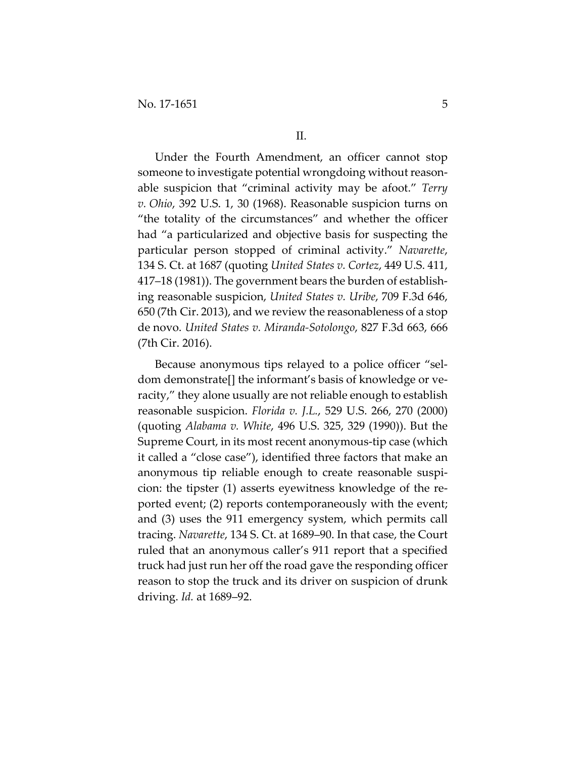Under the Fourth Amendment, an officer cannot stop someone to investigate potential wrongdoing without reasonable suspicion that "criminal activity may be afoot." *Terry v. Ohio*, 392 U.S. 1, 30 (1968). Reasonable suspicion turns on "the totality of the circumstances" and whether the officer had "a particularized and objective basis for suspecting the particular person stopped of criminal activity." *Navarette*, 134 S. Ct. at 1687 (quoting *United States v. Cortez*, 449 U.S. 411, 417–18 (1981)). The government bears the burden of establish‐ ing reasonable suspicion, *United States v. Uribe*, 709 F.3d 646, 650 (7th Cir. 2013), and we review the reasonableness of a stop de novo. *United States v. Miranda‐Sotolongo*, 827 F.3d 663, 666 (7th Cir. 2016).

Because anonymous tips relayed to a police officer "sel‐ dom demonstrate[] the informant's basis of knowledge or ve‐ racity," they alone usually are not reliable enough to establish reasonable suspicion. *Florida v. J.L.*, 529 U.S. 266, 270 (2000) (quoting *Alabama v. White*, 496 U.S. 325, 329 (1990)). But the Supreme Court, in its most recent anonymous‐tip case (which it called a "close case"), identified three factors that make an anonymous tip reliable enough to create reasonable suspi‐ cion: the tipster (1) asserts eyewitness knowledge of the re‐ ported event; (2) reports contemporaneously with the event; and (3) uses the 911 emergency system, which permits call tracing. *Navarette*, 134 S. Ct. at 1689–90. In that case, the Court ruled that an anonymous caller's 911 report that a specified truck had just run her off the road gave the responding officer reason to stop the truck and its driver on suspicion of drunk driving. *Id.* at 1689–92.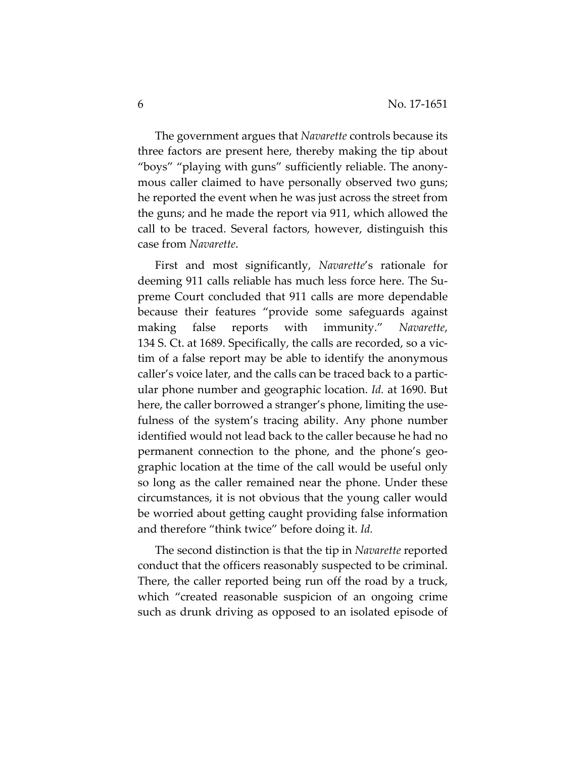The government argues that *Navarette* controls because its three factors are present here, thereby making the tip about "boys" "playing with guns" sufficiently reliable. The anony‐ mous caller claimed to have personally observed two guns; he reported the event when he was just across the street from the guns; and he made the report via 911, which allowed the call to be traced. Several factors, however, distinguish this case from *Navarette*.

First and most significantly, *Navarette*'s rationale for deeming 911 calls reliable has much less force here. The Su‐ preme Court concluded that 911 calls are more dependable because their features "provide some safeguards against making false reports with immunity." *Navarette*, 134 S. Ct. at 1689. Specifically, the calls are recorded, so a vic‐ tim of a false report may be able to identify the anonymous caller's voice later, and the calls can be traced back to a partic‐ ular phone number and geographic location. *Id.* at 1690. But here, the caller borrowed a stranger's phone, limiting the usefulness of the system's tracing ability. Any phone number identified would not lead back to the caller because he had no permanent connection to the phone, and the phone's geo‐ graphic location at the time of the call would be useful only so long as the caller remained near the phone. Under these circumstances, it is not obvious that the young caller would be worried about getting caught providing false information and therefore "think twice" before doing it. *Id.*

The second distinction is that the tip in *Navarette* reported conduct that the officers reasonably suspected to be criminal. There, the caller reported being run off the road by a truck, which "created reasonable suspicion of an ongoing crime such as drunk driving as opposed to an isolated episode of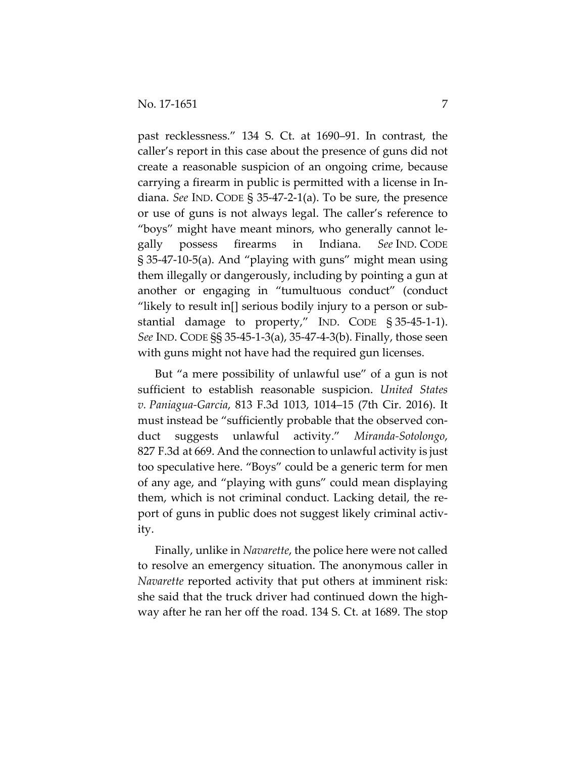past recklessness." 134 S. Ct. at 1690–91. In contrast, the caller's report in this case about the presence of guns did not create a reasonable suspicion of an ongoing crime, because carrying a firearm in public is permitted with a license in In‐ diana. *See* IND. CODE § 35‐47‐2‐1(a). To be sure, the presence or use of guns is not always legal. The caller's reference to "boys" might have meant minors, who generally cannot le‐ gally possess firearms in Indiana. *See* IND. CODE § 35‐47‐10‐5(a). And "playing with guns" might mean using them illegally or dangerously, including by pointing a gun at another or engaging in "tumultuous conduct" (conduct "likely to result in[] serious bodily injury to a person or sub‐ stantial damage to property," IND. CODE § 35‐45‐1‐1). *See* IND. CODE §§ 35‐45‐1‐3(a), 35‐47‐4‐3(b). Finally, those seen with guns might not have had the required gun licenses.

But "a mere possibility of unlawful use" of a gun is not sufficient to establish reasonable suspicion. *United States v. Paniagua‐Garcia*, 813 F.3d 1013, 1014–15 (7th Cir. 2016). It must instead be "sufficiently probable that the observed conduct suggests unlawful activity." *Miranda‐Sotolongo*, 827 F.3d at 669. And the connection to unlawful activity is just too speculative here. "Boys" could be a generic term for men of any age, and "playing with guns" could mean displaying them, which is not criminal conduct. Lacking detail, the re‐ port of guns in public does not suggest likely criminal activity.

Finally, unlike in *Navarette*, the police here were not called to resolve an emergency situation. The anonymous caller in *Navarette* reported activity that put others at imminent risk: she said that the truck driver had continued down the highway after he ran her off the road. 134 S. Ct. at 1689. The stop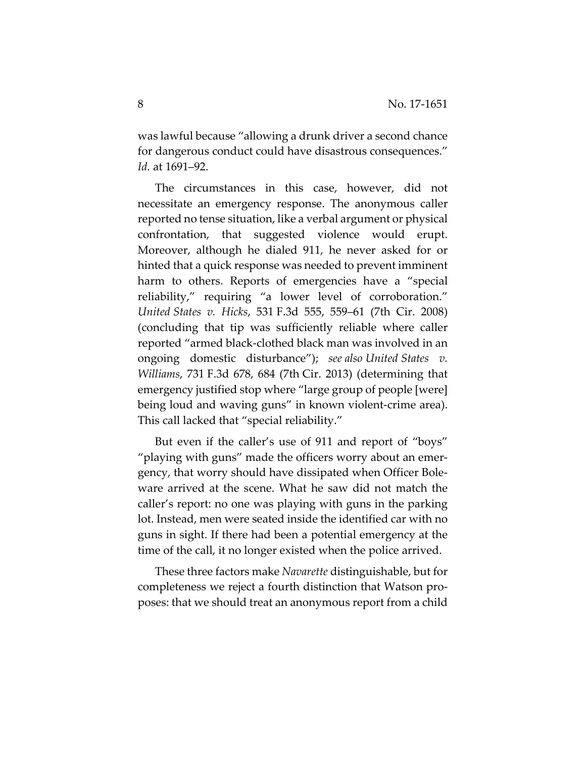was lawful because "allowing a drunk driver a second chance for dangerous conduct could have disastrous consequences." *Id.* at 1691–92.

The circumstances in this case, however, did not necessitate an emergency response. The anonymous caller reported no tense situation, like a verbal argument or physical confrontation, that suggested violence would erupt. Moreover, although he dialed 911, he never asked for or hinted that a quick response was needed to prevent imminent harm to others. Reports of emergencies have a "special reliability," requiring "a lower level of corroboration." *United States v. Hicks*, 531 F.3d 555, 559–61 (7th Cir. 2008) (concluding that tip was sufficiently reliable where caller reported "armed black‐clothed black man was involved in an ongoing domestic disturbance"); *see also United States v. Williams*, 731 F.3d 678, 684 (7th Cir. 2013) (determining that emergency justified stop where "large group of people [were] being loud and waving guns" in known violent-crime area). This call lacked that "special reliability."

But even if the caller's use of 911 and report of "boys" "playing with guns" made the officers worry about an emer‐ gency, that worry should have dissipated when Officer Bole‐ ware arrived at the scene. What he saw did not match the caller's report: no one was playing with guns in the parking lot. Instead, men were seated inside the identified car with no guns in sight. If there had been a potential emergency at the time of the call, it no longer existed when the police arrived.

These three factors make *Navarette* distinguishable, but for completeness we reject a fourth distinction that Watson pro‐ poses: that we should treat an anonymous report from a child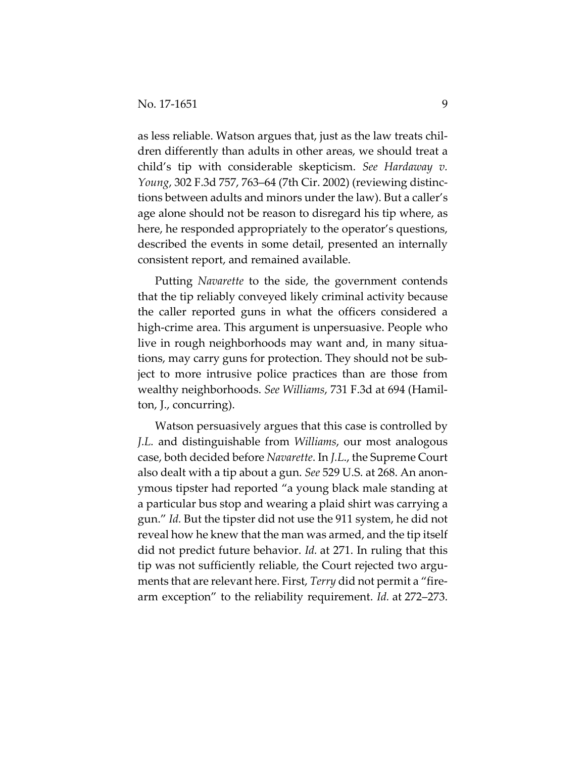as less reliable. Watson argues that, just as the law treats chil‐ dren differently than adults in other areas, we should treat a child's tip with considerable skepticism. *See Hardaway v. Young*, 302 F.3d 757, 763–64 (7th Cir. 2002) (reviewing distinc‐ tions between adults and minors under the law). But a caller's age alone should not be reason to disregard his tip where, as here, he responded appropriately to the operator's questions, described the events in some detail, presented an internally consistent report, and remained available.

Putting *Navarette* to the side, the government contends that the tip reliably conveyed likely criminal activity because the caller reported guns in what the officers considered a high-crime area. This argument is unpersuasive. People who live in rough neighborhoods may want and, in many situa‐ tions, may carry guns for protection. They should not be sub‐ ject to more intrusive police practices than are those from wealthy neighborhoods. *See Williams*, 731 F.3d at 694 (Hamil‐ ton, J., concurring).

Watson persuasively argues that this case is controlled by *J.L.* and distinguishable from *Williams*, our most analogous case, both decided before *Navarette*. In *J.L*., the Supreme Court also dealt with a tip about a gun. *See* 529 U.S. at 268. An anon‐ ymous tipster had reported "a young black male standing at a particular bus stop and wearing a plaid shirt was carrying a gun." *Id.* But the tipster did not use the 911 system, he did not reveal how he knew that the man was armed, and the tip itself did not predict future behavior. *Id.* at 271. In ruling that this tip was not sufficiently reliable, the Court rejected two argu‐ ments that are relevant here. First, *Terry* did not permit a "fire‐ arm exception" to the reliability requirement. *Id.* at 272–273.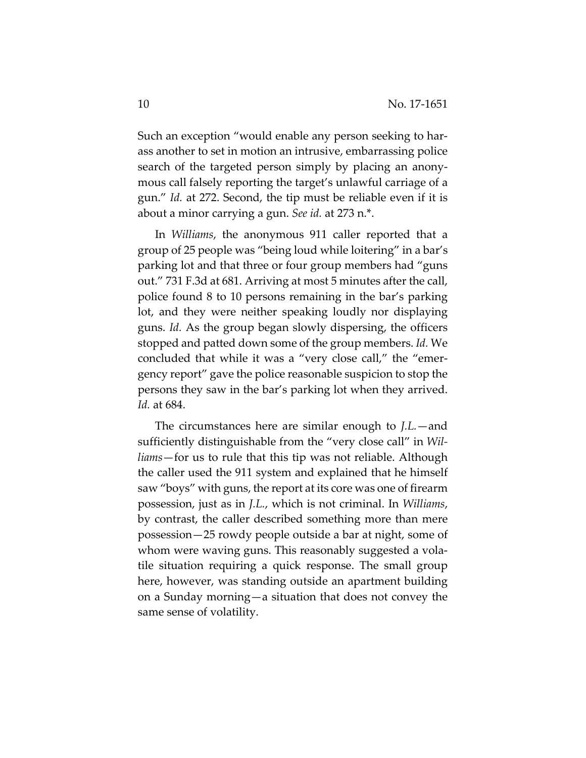Such an exception "would enable any person seeking to har‐ ass another to set in motion an intrusive, embarrassing police search of the targeted person simply by placing an anony‐ mous call falsely reporting the target's unlawful carriage of a gun." *Id.* at 272. Second, the tip must be reliable even if it is about a minor carrying a gun. *See id.* at 273 n.\*.

In *Williams*, the anonymous 911 caller reported that a group of 25 people was "being loud while loitering" in a bar's parking lot and that three or four group members had "guns out." 731 F.3d at 681. Arriving at most 5 minutes after the call, police found 8 to 10 persons remaining in the bar's parking lot, and they were neither speaking loudly nor displaying guns. *Id.* As the group began slowly dispersing, the officers stopped and patted down some of the group members. *Id.* We concluded that while it was a "very close call," the "emer‐ gency report" gave the police reasonable suspicion to stop the persons they saw in the bar's parking lot when they arrived. *Id.* at 684.

The circumstances here are similar enough to *J.L.*—and sufficiently distinguishable from the "very close call" in *Wil‐ liams*—for us to rule that this tip was not reliable. Although the caller used the 911 system and explained that he himself saw "boys" with guns, the report at its core was one of firearm possession, just as in *J.L.*, which is not criminal. In *Williams*, by contrast, the caller described something more than mere possession—25 rowdy people outside a bar at night, some of whom were waving guns. This reasonably suggested a vola‐ tile situation requiring a quick response. The small group here, however, was standing outside an apartment building on a Sunday morning—a situation that does not convey the same sense of volatility.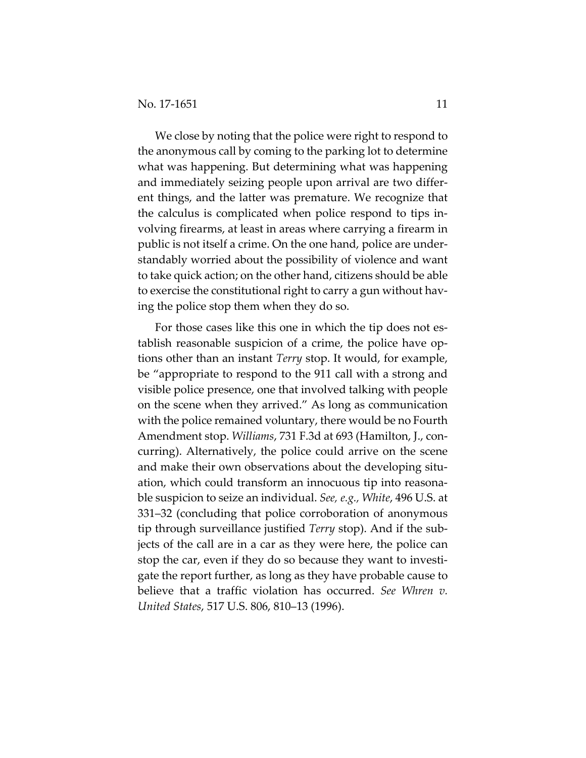We close by noting that the police were right to respond to the anonymous call by coming to the parking lot to determine what was happening. But determining what was happening and immediately seizing people upon arrival are two differ‐ ent things, and the latter was premature. We recognize that the calculus is complicated when police respond to tips in‐ volving firearms, at least in areas where carrying a firearm in public is not itself a crime. On the one hand, police are under‐ standably worried about the possibility of violence and want to take quick action; on the other hand, citizens should be able to exercise the constitutional right to carry a gun without hav‐ ing the police stop them when they do so.

For those cases like this one in which the tip does not establish reasonable suspicion of a crime, the police have op‐ tions other than an instant *Terry* stop. It would, for example, be "appropriate to respond to the 911 call with a strong and visible police presence, one that involved talking with people on the scene when they arrived." As long as communication with the police remained voluntary, there would be no Fourth Amendment stop. *Williams*, 731 F.3d at 693 (Hamilton, J., con‐ curring). Alternatively, the police could arrive on the scene and make their own observations about the developing situ‐ ation, which could transform an innocuous tip into reasona‐ ble suspicion to seize an individual. *See, e.g., White*, 496 U.S. at 331–32 (concluding that police corroboration of anonymous tip through surveillance justified *Terry* stop). And if the sub‐ jects of the call are in a car as they were here, the police can stop the car, even if they do so because they want to investi‐ gate the report further, as long as they have probable cause to believe that a traffic violation has occurred. *See Whren v. United States*, 517 U.S. 806, 810–13 (1996).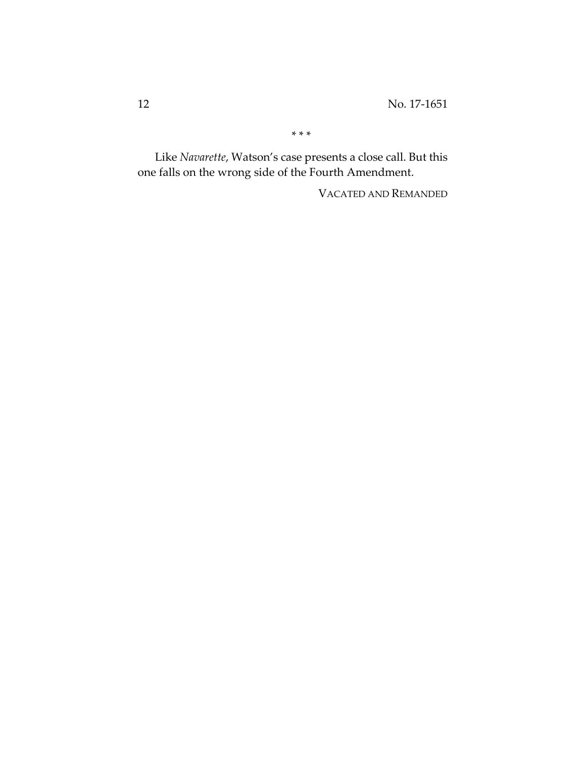\* \* \*

Like *Navarette*, Watson's case presents a close call. But this one falls on the wrong side of the Fourth Amendment.

VACATED AND REMANDED